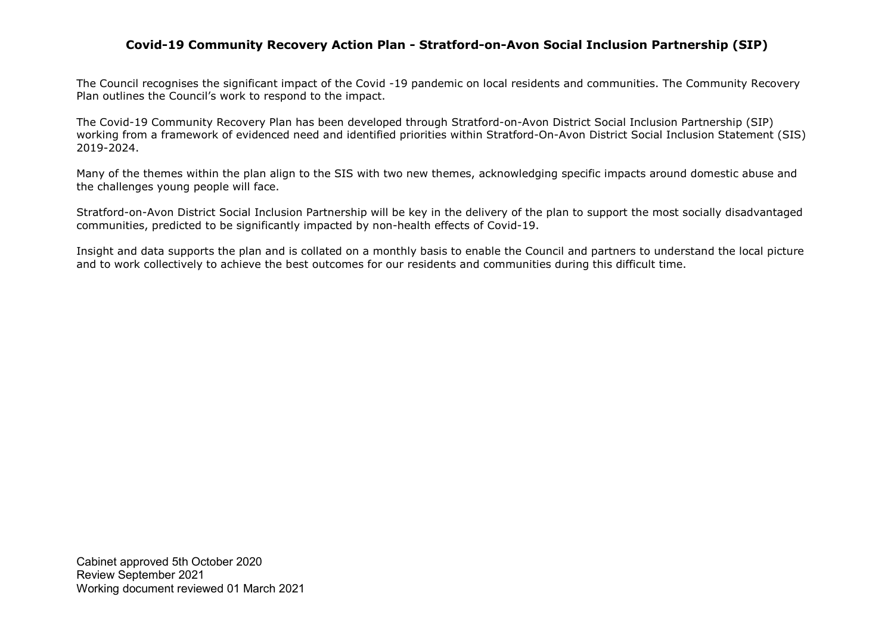### **Covid-19 Community Recovery Action Plan - Stratford-on-Avon Social Inclusion Partnership (SIP)**

The Council recognises the significant impact of the Covid -19 pandemic on local residents and communities. The Community Recovery Plan outlines the Council's work to respond to the impact.

The Covid-19 Community Recovery Plan has been developed through Stratford-on-Avon District Social Inclusion Partnership (SIP) working from a framework of evidenced need and identified priorities within Stratford-On-Avon District Social Inclusion Statement (SIS) 2019-2024.

Many of the themes within the plan align to the SIS with two new themes, acknowledging specific impacts around domestic abuse and the challenges young people will face.

Stratford-on-Avon District Social Inclusion Partnership will be key in the delivery of the plan to support the most socially disadvantaged communities, predicted to be significantly impacted by non-health effects of Covid-19.

Insight and data supports the plan and is collated on a monthly basis to enable the Council and partners to understand the local picture and to work collectively to achieve the best outcomes for our residents and communities during this difficult time.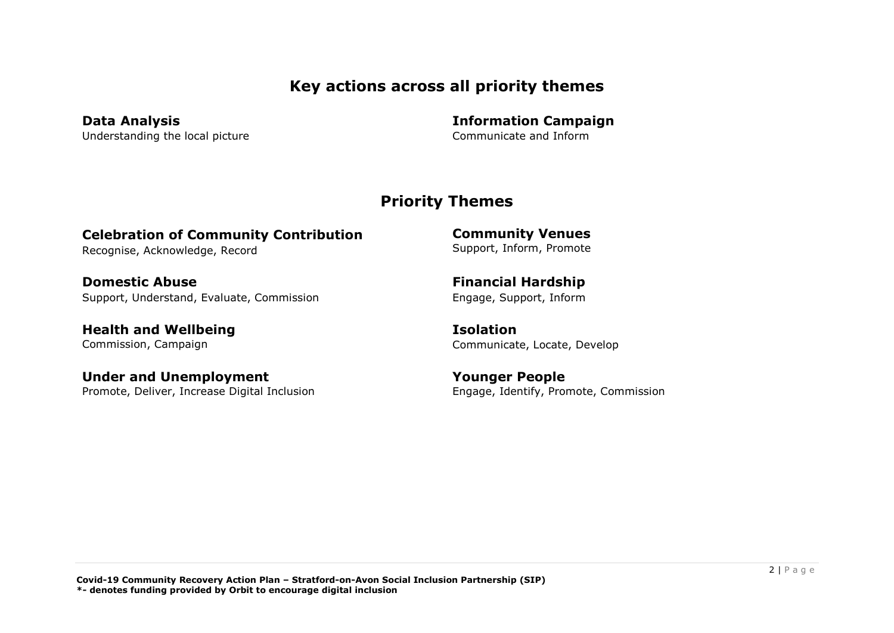## **Key actions across all priority themes**

**Data Analysis**  Understanding the local picture **Information Campaign**  Communicate and Inform

## **Priority Themes**

# **Celebration of Community Contribution**

Recognise, Acknowledge, Record

**Domestic Abuse** Support, Understand, Evaluate, Commission

**Health and Wellbeing**  Commission, Campaign

**Under and Unemployment** Promote, Deliver, Increase Digital Inclusion **Community Venues** Support, Inform, Promote

**Financial Hardship** Engage, Support, Inform

**Isolation** Communicate, Locate, Develop

**Younger People**  Engage, Identify, Promote, Commission

**Covid-19 Community Recovery Action Plan – Stratford-on-Avon Social Inclusion Partnership (SIP) \*- denotes funding provided by Orbit to encourage digital inclusion**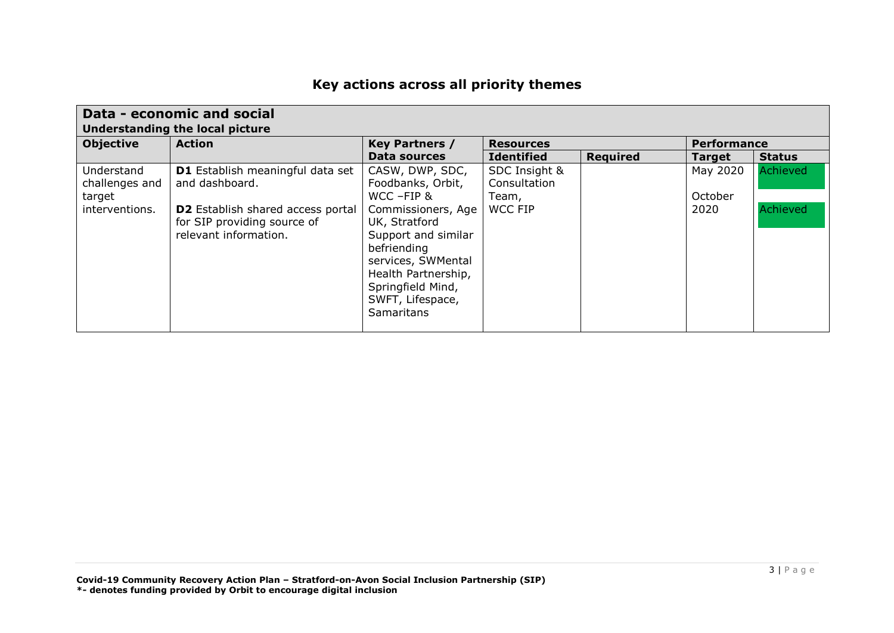# **Key actions across all priority themes**

| Data - economic and social<br>Understanding the local picture |                                   |                       |                   |                 |                    |               |  |
|---------------------------------------------------------------|-----------------------------------|-----------------------|-------------------|-----------------|--------------------|---------------|--|
| <b>Objective</b>                                              | <b>Action</b>                     | <b>Key Partners /</b> | <b>Resources</b>  |                 | <b>Performance</b> |               |  |
|                                                               |                                   | Data sources          | <b>Identified</b> | <b>Required</b> | <b>Target</b>      | <b>Status</b> |  |
| Understand                                                    | D1 Establish meaningful data set  | CASW, DWP, SDC,       | SDC Insight &     |                 | May 2020           | Achieved      |  |
| challenges and                                                | and dashboard.                    | Foodbanks, Orbit,     | Consultation      |                 |                    |               |  |
| target                                                        |                                   | WCC-FIP &             | Team,             |                 | October            |               |  |
| interventions.                                                | D2 Establish shared access portal | Commissioners, Age    | <b>WCC FIP</b>    |                 | 2020               | Achieved      |  |
|                                                               | for SIP providing source of       | UK, Stratford         |                   |                 |                    |               |  |
|                                                               | relevant information.             | Support and similar   |                   |                 |                    |               |  |
|                                                               |                                   | befriending           |                   |                 |                    |               |  |
|                                                               |                                   | services, SWMental    |                   |                 |                    |               |  |
|                                                               |                                   | Health Partnership,   |                   |                 |                    |               |  |
|                                                               |                                   | Springfield Mind,     |                   |                 |                    |               |  |
|                                                               |                                   | SWFT, Lifespace,      |                   |                 |                    |               |  |
|                                                               |                                   | <b>Samaritans</b>     |                   |                 |                    |               |  |
|                                                               |                                   |                       |                   |                 |                    |               |  |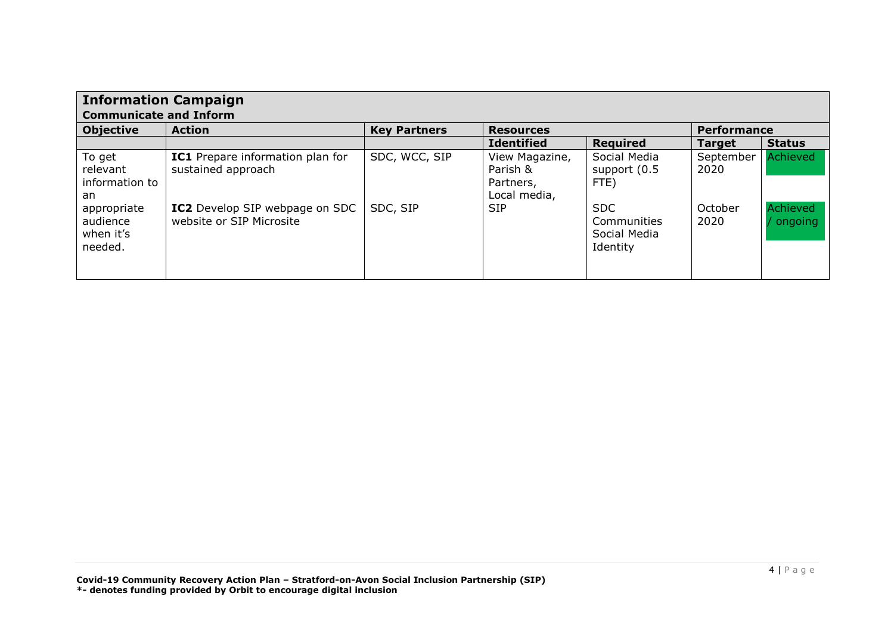| <b>Information Campaign</b><br><b>Communicate and Inform</b> |                                                            |                     |                                                         |                                                       |                    |                     |  |
|--------------------------------------------------------------|------------------------------------------------------------|---------------------|---------------------------------------------------------|-------------------------------------------------------|--------------------|---------------------|--|
| <b>Objective</b>                                             | <b>Action</b>                                              | <b>Key Partners</b> | <b>Resources</b>                                        |                                                       | <b>Performance</b> |                     |  |
|                                                              |                                                            |                     | <b>Identified</b>                                       | <b>Required</b>                                       | <b>Target</b>      | <b>Status</b>       |  |
| To get<br>relevant<br>information to<br>an                   | IC1 Prepare information plan for<br>sustained approach     | SDC, WCC, SIP       | View Magazine,<br>Parish &<br>Partners,<br>Local media, | Social Media<br>support (0.5)<br>FTE)                 | September<br>2020  | Achieved            |  |
| appropriate<br>audience<br>when it's<br>needed.              | IC2 Develop SIP webpage on SDC<br>website or SIP Microsite | SDC, SIP            | <b>SIP</b>                                              | <b>SDC</b><br>Communities<br>Social Media<br>Identity | October<br>2020    | Achieved<br>ongoing |  |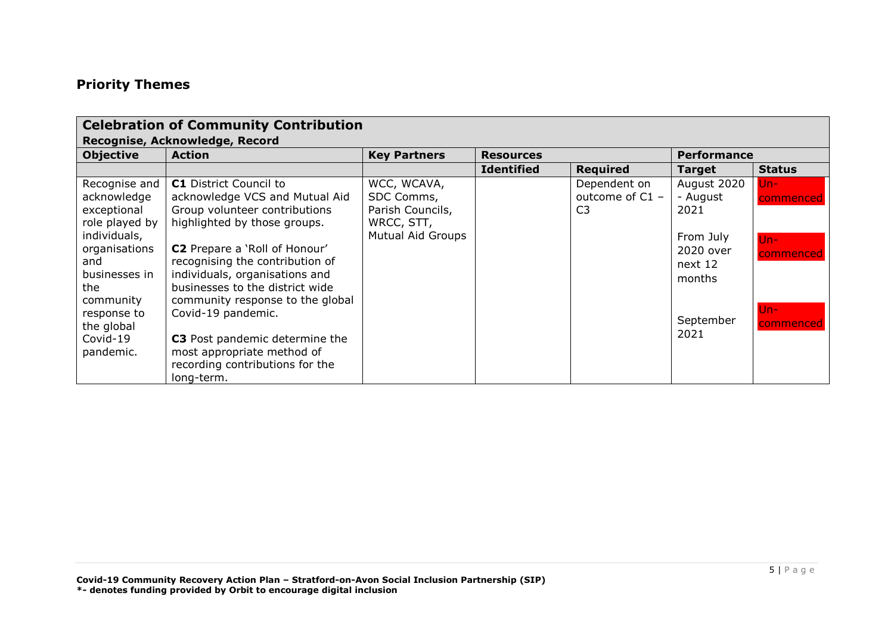## **Priority Themes**

|                                                                                                                                                                                                  | <b>Celebration of Community Contribution</b>                                                                                                                                                                                                                                                                                                                                                                                                                |                                                                                         |                   |                                                   |                                                                                                     |                                                                   |
|--------------------------------------------------------------------------------------------------------------------------------------------------------------------------------------------------|-------------------------------------------------------------------------------------------------------------------------------------------------------------------------------------------------------------------------------------------------------------------------------------------------------------------------------------------------------------------------------------------------------------------------------------------------------------|-----------------------------------------------------------------------------------------|-------------------|---------------------------------------------------|-----------------------------------------------------------------------------------------------------|-------------------------------------------------------------------|
|                                                                                                                                                                                                  | Recognise, Acknowledge, Record                                                                                                                                                                                                                                                                                                                                                                                                                              |                                                                                         |                   |                                                   |                                                                                                     |                                                                   |
| <b>Objective</b>                                                                                                                                                                                 | <b>Action</b>                                                                                                                                                                                                                                                                                                                                                                                                                                               | <b>Key Partners</b>                                                                     | <b>Resources</b>  |                                                   | <b>Performance</b>                                                                                  |                                                                   |
|                                                                                                                                                                                                  |                                                                                                                                                                                                                                                                                                                                                                                                                                                             |                                                                                         | <b>Identified</b> | <b>Required</b>                                   | <b>Target</b>                                                                                       | <b>Status</b>                                                     |
| Recognise and<br>acknowledge<br>exceptional<br>role played by<br>individuals,<br>organisations<br>and<br>businesses in<br>the<br>community<br>response to<br>the global<br>Covid-19<br>pandemic. | <b>C1</b> District Council to<br>acknowledge VCS and Mutual Aid<br>Group volunteer contributions<br>highlighted by those groups.<br><b>C2</b> Prepare a 'Roll of Honour'<br>recognising the contribution of<br>individuals, organisations and<br>businesses to the district wide<br>community response to the global<br>Covid-19 pandemic.<br>C3 Post pandemic determine the<br>most appropriate method of<br>recording contributions for the<br>long-term. | WCC, WCAVA,<br>SDC Comms,<br>Parish Councils,<br>WRCC, STT,<br><b>Mutual Aid Groups</b> |                   | Dependent on<br>outcome of C1 -<br>C <sub>3</sub> | August 2020<br>- August<br>2021<br>From July<br>2020 over<br>next 12<br>months<br>September<br>2021 | $Un -$<br>commenced<br>$Un -$<br>commenced<br>$Un -$<br>commenced |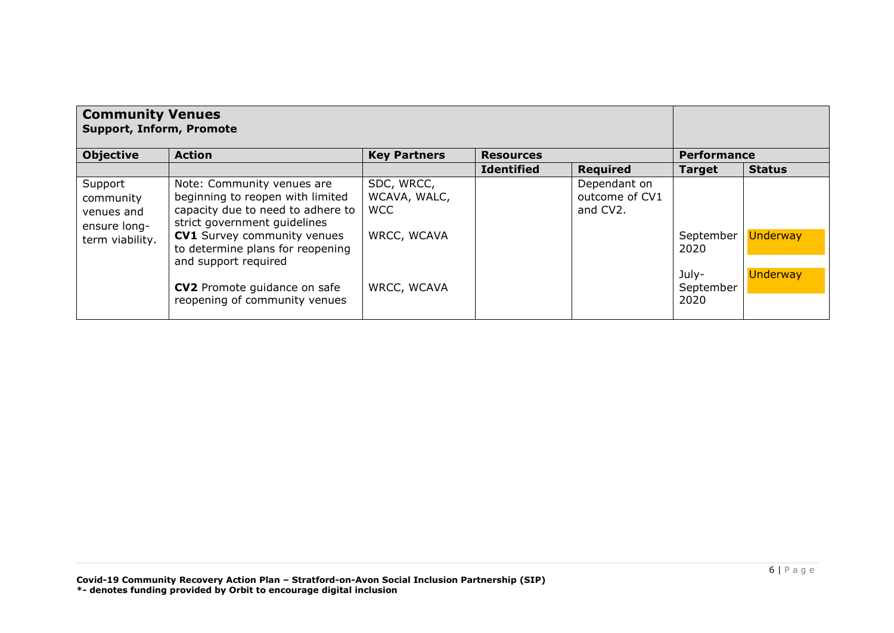| <b>Community Venues</b><br><b>Support, Inform, Promote</b>            |                                                                                                                                                                                                                                       |                                                         |                   |                                            |                            |                                    |
|-----------------------------------------------------------------------|---------------------------------------------------------------------------------------------------------------------------------------------------------------------------------------------------------------------------------------|---------------------------------------------------------|-------------------|--------------------------------------------|----------------------------|------------------------------------|
| <b>Objective</b>                                                      | <b>Action</b>                                                                                                                                                                                                                         | <b>Key Partners</b>                                     | <b>Resources</b>  |                                            | <b>Performance</b>         |                                    |
|                                                                       |                                                                                                                                                                                                                                       |                                                         | <b>Identified</b> | <b>Required</b>                            | <b>Target</b>              | <b>Status</b>                      |
| Support<br>community<br>venues and<br>ensure long-<br>term viability. | Note: Community venues are<br>beginning to reopen with limited<br>capacity due to need to adhere to<br>strict government quidelines<br><b>CV1</b> Survey community venues<br>to determine plans for reopening<br>and support required | SDC, WRCC,<br>WCAVA, WALC,<br><b>WCC</b><br>WRCC, WCAVA |                   | Dependant on<br>outcome of CV1<br>and CV2. | September<br>2020<br>July- | <b>Underway</b><br><b>Underway</b> |
|                                                                       | <b>CV2</b> Promote guidance on safe<br>reopening of community venues                                                                                                                                                                  | WRCC, WCAVA                                             |                   |                                            | September<br>2020          |                                    |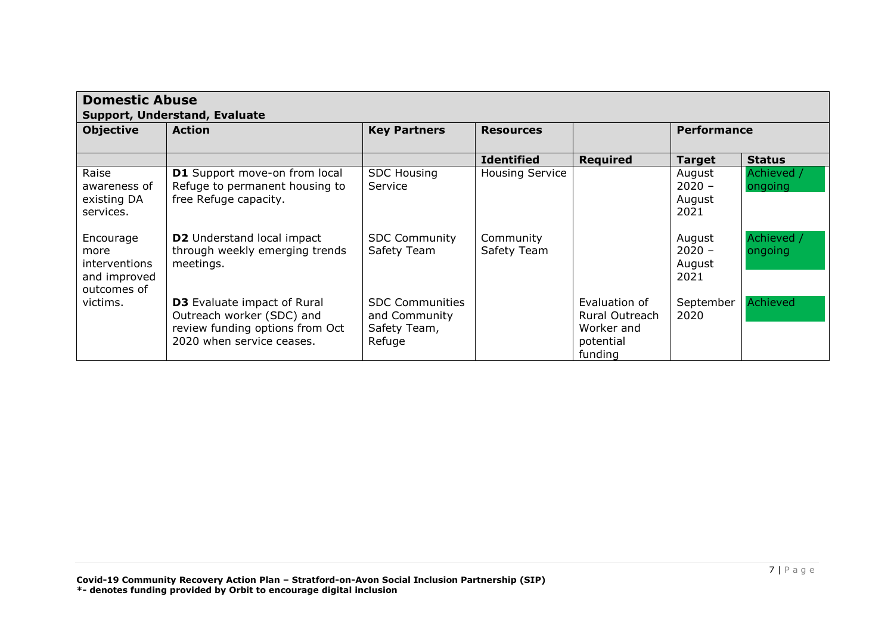| <b>Domestic Abuse</b><br>Support, Understand, Evaluate            |                                                                                                                                 |                                                                   |                          |                                                                              |                                      |                       |  |  |
|-------------------------------------------------------------------|---------------------------------------------------------------------------------------------------------------------------------|-------------------------------------------------------------------|--------------------------|------------------------------------------------------------------------------|--------------------------------------|-----------------------|--|--|
| <b>Objective</b>                                                  | <b>Action</b>                                                                                                                   | <b>Key Partners</b>                                               | <b>Resources</b>         |                                                                              | <b>Performance</b>                   |                       |  |  |
|                                                                   |                                                                                                                                 |                                                                   | <b>Identified</b>        | <b>Required</b>                                                              | <b>Target</b>                        | <b>Status</b>         |  |  |
| Raise<br>awareness of<br>existing DA<br>services.                 | <b>D1</b> Support move-on from local<br>Refuge to permanent housing to<br>free Refuge capacity.                                 | <b>SDC Housing</b><br>Service                                     | <b>Housing Service</b>   |                                                                              | August<br>$2020 -$<br>August<br>2021 | Achieved /<br>ongoing |  |  |
| Encourage<br>more<br>interventions<br>and improved<br>outcomes of | <b>D2</b> Understand local impact<br>through weekly emerging trends<br>meetings.                                                | <b>SDC Community</b><br>Safety Team                               | Community<br>Safety Team |                                                                              | August<br>$2020 -$<br>August<br>2021 | Achieved /<br>ongoing |  |  |
| victims.                                                          | <b>D3</b> Evaluate impact of Rural<br>Outreach worker (SDC) and<br>review funding options from Oct<br>2020 when service ceases. | <b>SDC Communities</b><br>and Community<br>Safety Team,<br>Refuge |                          | Evaluation of<br><b>Rural Outreach</b><br>Worker and<br>potential<br>funding | September<br>2020                    | Achieved              |  |  |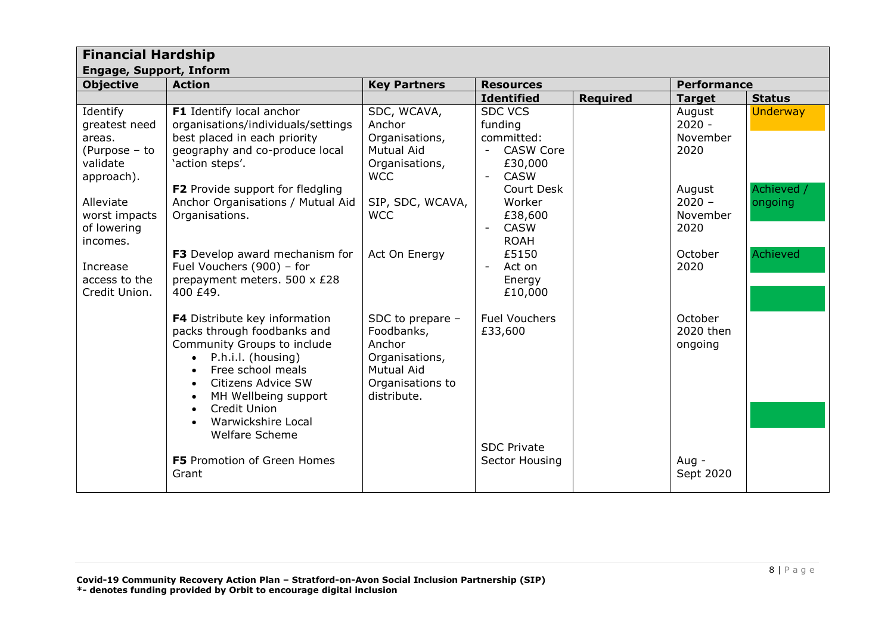| <b>Financial Hardship</b>                                                      |                                                                                                                                                                                                                                                                                                          |                                                                                                                    |                                                                                                 |                 |                                        |                       |  |
|--------------------------------------------------------------------------------|----------------------------------------------------------------------------------------------------------------------------------------------------------------------------------------------------------------------------------------------------------------------------------------------------------|--------------------------------------------------------------------------------------------------------------------|-------------------------------------------------------------------------------------------------|-----------------|----------------------------------------|-----------------------|--|
| <b>Engage, Support, Inform</b>                                                 |                                                                                                                                                                                                                                                                                                          |                                                                                                                    |                                                                                                 |                 |                                        |                       |  |
| <b>Objective</b>                                                               | <b>Action</b>                                                                                                                                                                                                                                                                                            | <b>Key Partners</b>                                                                                                | <b>Resources</b>                                                                                |                 | <b>Performance</b>                     |                       |  |
|                                                                                |                                                                                                                                                                                                                                                                                                          |                                                                                                                    | <b>Identified</b>                                                                               | <b>Required</b> | <b>Target</b>                          | <b>Status</b>         |  |
| Identify<br>greatest need<br>areas.<br>(Purpose - to<br>validate<br>approach). | F1 Identify local anchor<br>organisations/individuals/settings<br>best placed in each priority<br>geography and co-produce local<br>'action steps'.                                                                                                                                                      | SDC, WCAVA,<br>Anchor<br>Organisations,<br>Mutual Aid<br>Organisations,<br><b>WCC</b>                              | <b>SDC VCS</b><br>funding<br>committed:<br><b>CASW Core</b><br>£30,000<br><b>CASW</b><br>$\sim$ |                 | August<br>$2020 -$<br>November<br>2020 | <b>Underway</b>       |  |
| Alleviate<br>worst impacts<br>of lowering<br>incomes.                          | F2 Provide support for fledgling<br>Anchor Organisations / Mutual Aid<br>Organisations.                                                                                                                                                                                                                  | SIP, SDC, WCAVA,<br><b>WCC</b>                                                                                     | Court Desk<br>Worker<br>£38,600<br><b>CASW</b><br><b>ROAH</b>                                   |                 | August<br>$2020 -$<br>November<br>2020 | Achieved /<br>ongoing |  |
| Increase<br>access to the<br>Credit Union.                                     | F3 Develop award mechanism for<br>Fuel Vouchers (900) - for<br>prepayment meters. 500 x £28<br>400 £49.                                                                                                                                                                                                  | Act On Energy                                                                                                      | £5150<br>Act on<br>Energy<br>£10,000                                                            |                 | October<br>2020                        | Achieved              |  |
|                                                                                | F4 Distribute key information<br>packs through foodbanks and<br>Community Groups to include<br>P.h.i.l. (housing)<br>$\bullet$<br>Free school meals<br>$\bullet$<br>Citizens Advice SW<br>$\bullet$<br>MH Wellbeing support<br>$\bullet$<br>Credit Union<br>$\bullet$<br>Warwickshire Local<br>$\bullet$ | SDC to prepare -<br>Foodbanks,<br>Anchor<br>Organisations,<br><b>Mutual Aid</b><br>Organisations to<br>distribute. | <b>Fuel Vouchers</b><br>£33,600                                                                 |                 | October<br>2020 then<br>ongoing        |                       |  |
|                                                                                | <b>Welfare Scheme</b><br>F5 Promotion of Green Homes<br>Grant                                                                                                                                                                                                                                            |                                                                                                                    | <b>SDC Private</b><br>Sector Housing                                                            |                 | Aug -<br>Sept 2020                     |                       |  |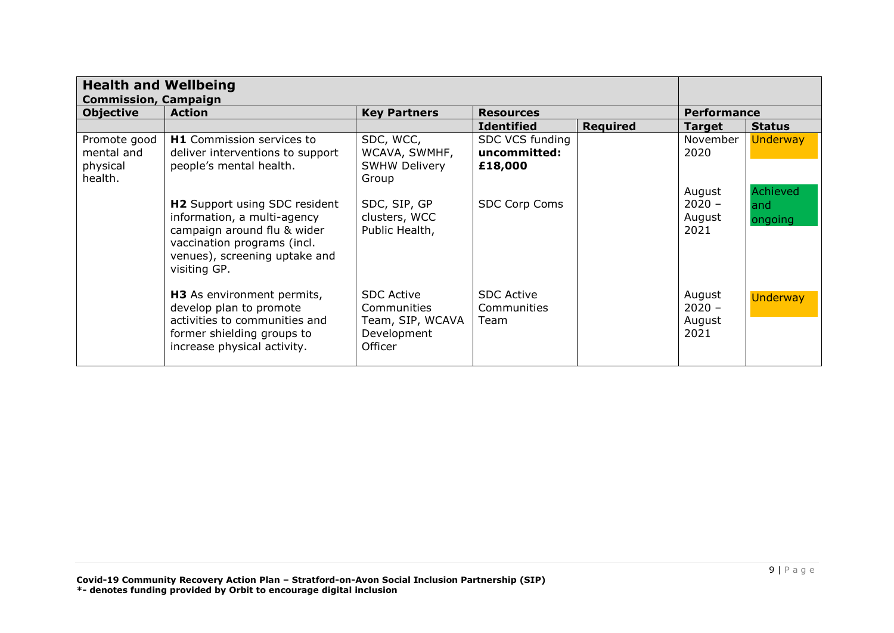|                                                   | <b>Health and Wellbeing</b><br><b>Commission, Campaign</b>                                                                                                                         |                                                                                |                                            |                 |                                      |                             |
|---------------------------------------------------|------------------------------------------------------------------------------------------------------------------------------------------------------------------------------------|--------------------------------------------------------------------------------|--------------------------------------------|-----------------|--------------------------------------|-----------------------------|
| <b>Objective</b>                                  | <b>Action</b>                                                                                                                                                                      | <b>Key Partners</b>                                                            | <b>Resources</b>                           |                 | <b>Performance</b>                   |                             |
|                                                   |                                                                                                                                                                                    |                                                                                | <b>Identified</b>                          | <b>Required</b> | <b>Target</b>                        | <b>Status</b>               |
| Promote good<br>mental and<br>physical<br>health. | H1 Commission services to<br>deliver interventions to support<br>people's mental health.                                                                                           | SDC, WCC,<br>WCAVA, SWMHF,<br><b>SWHW Delivery</b><br>Group                    | SDC VCS funding<br>uncommitted:<br>£18,000 |                 | November<br>2020<br>August           | <b>Underway</b><br>Achieved |
|                                                   | <b>H2</b> Support using SDC resident<br>information, a multi-agency<br>campaign around flu & wider<br>vaccination programs (incl.<br>venues), screening uptake and<br>visiting GP. | SDC, SIP, GP<br>clusters, WCC<br>Public Health,                                | SDC Corp Coms                              |                 | $2020 -$<br>August<br>2021           | and<br>ongoing              |
|                                                   | H3 As environment permits,<br>develop plan to promote<br>activities to communities and<br>former shielding groups to<br>increase physical activity.                                | <b>SDC Active</b><br>Communities<br>Team, SIP, WCAVA<br>Development<br>Officer | <b>SDC Active</b><br>Communities<br>Team   |                 | August<br>$2020 -$<br>August<br>2021 | <b>Underway</b>             |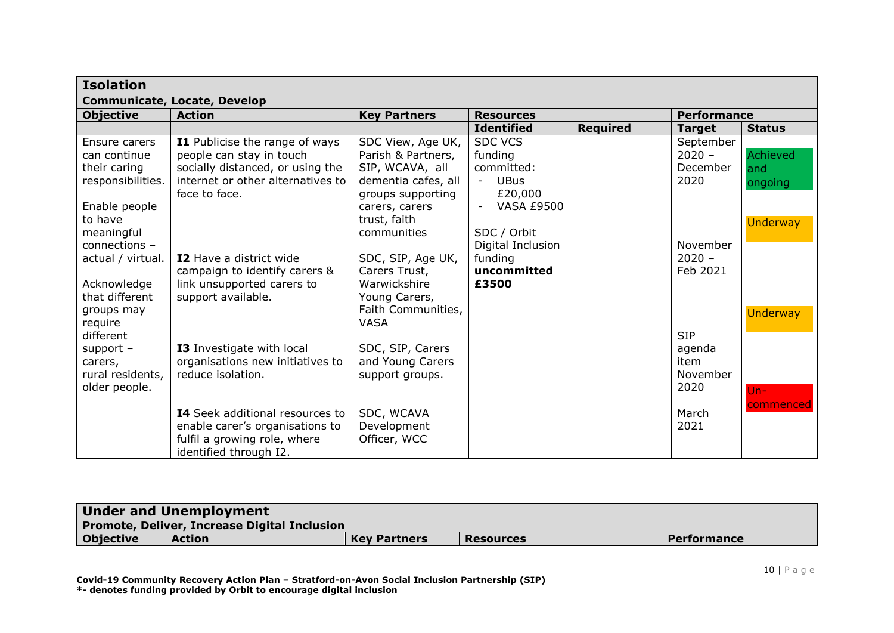| <b>Isolation</b>            |                                        |                     |                              |                 |                    |                 |  |
|-----------------------------|----------------------------------------|---------------------|------------------------------|-----------------|--------------------|-----------------|--|
|                             | <b>Communicate, Locate, Develop</b>    |                     |                              |                 |                    |                 |  |
| <b>Objective</b>            | <b>Action</b>                          | <b>Key Partners</b> | <b>Resources</b>             |                 | <b>Performance</b> |                 |  |
|                             |                                        |                     | <b>Identified</b>            | <b>Required</b> | <b>Target</b>      | <b>Status</b>   |  |
| Ensure carers               | <b>I1</b> Publicise the range of ways  | SDC View, Age UK,   | <b>SDC VCS</b>               |                 | September          |                 |  |
| can continue                | people can stay in touch               | Parish & Partners,  | funding                      |                 | $2020 -$           | Achieved        |  |
| their caring                | socially distanced, or using the       | SIP, WCAVA, all     | committed:                   |                 | December           | and             |  |
| responsibilities.           | internet or other alternatives to      | dementia cafes, all | <b>UBus</b><br>$\sim$        |                 | 2020               | ongoing         |  |
|                             | face to face.                          | groups supporting   | £20,000                      |                 |                    |                 |  |
| Enable people               |                                        | carers, carers      | <b>VASA £9500</b>            |                 |                    |                 |  |
| to have                     |                                        | trust, faith        |                              |                 |                    | <b>Underway</b> |  |
| meaningful<br>connections - |                                        | communities         | SDC / Orbit                  |                 | November           |                 |  |
| actual / virtual.           | <b>I2</b> Have a district wide         | SDC, SIP, Age UK,   | Digital Inclusion<br>funding |                 | $2020 -$           |                 |  |
|                             | campaign to identify carers &          | Carers Trust,       | uncommitted                  |                 | Feb 2021           |                 |  |
| Acknowledge                 | link unsupported carers to             | Warwickshire        | £3500                        |                 |                    |                 |  |
| that different              | support available.                     | Young Carers,       |                              |                 |                    |                 |  |
| groups may                  |                                        | Faith Communities,  |                              |                 |                    | <b>Underway</b> |  |
| require                     |                                        | <b>VASA</b>         |                              |                 |                    |                 |  |
| different                   |                                        |                     |                              |                 | <b>SIP</b>         |                 |  |
| support $-$                 | <b>I3</b> Investigate with local       | SDC, SIP, Carers    |                              |                 | agenda             |                 |  |
| carers,                     | organisations new initiatives to       | and Young Carers    |                              |                 | item               |                 |  |
| rural residents,            | reduce isolation.                      | support groups.     |                              |                 | November           |                 |  |
| older people.               |                                        |                     |                              |                 | 2020               | $Un -$          |  |
|                             |                                        |                     |                              |                 |                    | commenced       |  |
|                             | <b>I4</b> Seek additional resources to | SDC, WCAVA          |                              |                 | March              |                 |  |
|                             | enable carer's organisations to        | Development         |                              |                 | 2021               |                 |  |
|                             | fulfil a growing role, where           | Officer, WCC        |                              |                 |                    |                 |  |
|                             | identified through I2.                 |                     |                              |                 |                    |                 |  |

| <b>Under and Unemployment</b><br><b>Promote, Deliver, Increase Digital Inclusion</b> |               |                     |                  |             |
|--------------------------------------------------------------------------------------|---------------|---------------------|------------------|-------------|
| <b>Objective</b>                                                                     | <b>Action</b> | <b>Key Partners</b> | <b>Resources</b> | Performance |

**Covid-19 Community Recovery Action Plan – Stratford-on-Avon Social Inclusion Partnership (SIP)**

**\*- denotes funding provided by Orbit to encourage digital inclusion**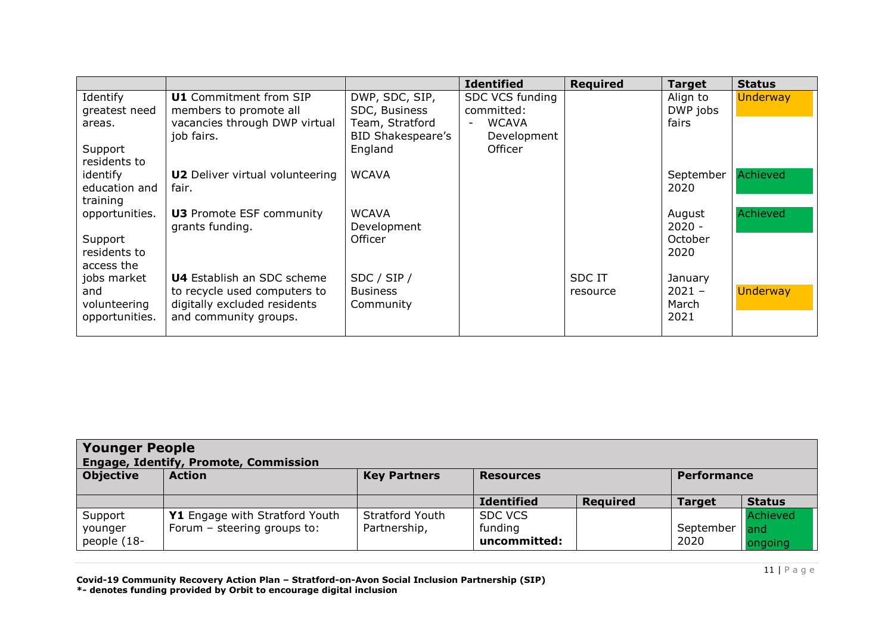|                |                                        |                          | <b>Identified</b> | <b>Required</b> | <b>Target</b> | <b>Status</b>   |
|----------------|----------------------------------------|--------------------------|-------------------|-----------------|---------------|-----------------|
| Identify       | <b>U1</b> Commitment from SIP          | DWP, SDC, SIP,           | SDC VCS funding   |                 | Align to      | <b>Underway</b> |
| greatest need  | members to promote all                 | SDC, Business            | committed:        |                 | DWP jobs      |                 |
| areas.         | vacancies through DWP virtual          | Team, Stratford          | <b>WCAVA</b>      |                 | fairs         |                 |
|                | job fairs.                             | <b>BID Shakespeare's</b> | Development       |                 |               |                 |
| Support        |                                        | England                  | Officer           |                 |               |                 |
| residents to   |                                        |                          |                   |                 |               |                 |
| identify       | <b>U2</b> Deliver virtual volunteering | <b>WCAVA</b>             |                   |                 | September     | Achieved        |
| education and  | fair.                                  |                          |                   |                 | 2020          |                 |
| training       |                                        |                          |                   |                 |               |                 |
| opportunities. | <b>U3</b> Promote ESF community        | <b>WCAVA</b>             |                   |                 | August        | Achieved        |
|                | grants funding.                        | Development              |                   |                 | $2020 -$      |                 |
| Support        |                                        | Officer                  |                   |                 | October       |                 |
| residents to   |                                        |                          |                   |                 | 2020          |                 |
| access the     |                                        |                          |                   |                 |               |                 |
| jobs market    | <b>U4</b> Establish an SDC scheme      | SDC / SIP /              |                   | <b>SDCIT</b>    | January       |                 |
| and            | to recycle used computers to           | <b>Business</b>          |                   | resource        | $2021 -$      | <b>Underway</b> |
| volunteering   | digitally excluded residents           | Community                |                   |                 | March<br>2021 |                 |
| opportunities. | and community groups.                  |                          |                   |                 |               |                 |

| <b>Younger People</b><br><b>Engage, Identify, Promote, Commission</b> |                                                               |                                        |                                           |                 |                    |                            |  |
|-----------------------------------------------------------------------|---------------------------------------------------------------|----------------------------------------|-------------------------------------------|-----------------|--------------------|----------------------------|--|
| <b>Objective</b>                                                      | <b>Action</b>                                                 | <b>Key Partners</b>                    | <b>Resources</b>                          |                 | <b>Performance</b> |                            |  |
|                                                                       |                                                               |                                        | <b>Identified</b>                         | <b>Required</b> | <b>Target</b>      | <b>Status</b>              |  |
| Support<br>younger<br>people (18-                                     | Y1 Engage with Stratford Youth<br>Forum - steering groups to: | <b>Stratford Youth</b><br>Partnership, | <b>SDC VCS</b><br>funding<br>uncommitted: |                 | September<br>2020  | Achieved<br>and<br>ongoing |  |

**Covid-19 Community Recovery Action Plan – Stratford-on-Avon Social Inclusion Partnership (SIP) \*- denotes funding provided by Orbit to encourage digital inclusion**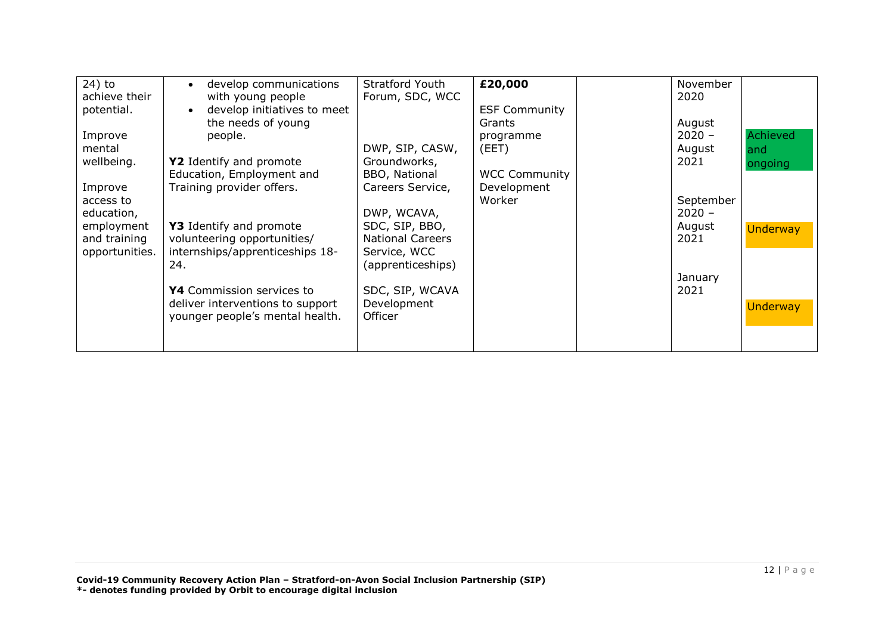| 24) to<br>achieve their<br>potential.<br>Improve<br>mental<br>wellbeing.<br>Improve<br>access to<br>education,<br>employment<br>and training<br>opportunities. | develop communications<br>$\bullet$<br>with young people<br>develop initiatives to meet<br>$\bullet$<br>the needs of young<br>people.<br>Y2 Identify and promote<br>Education, Employment and<br>Training provider offers.<br>Y3 Identify and promote<br>volunteering opportunities/<br>internships/apprenticeships 18-<br>24.<br>Y4 Commission services to<br>deliver interventions to support<br>younger people's mental health. | <b>Stratford Youth</b><br>Forum, SDC, WCC<br>DWP, SIP, CASW,<br>Groundworks,<br>BBO, National<br>Careers Service,<br>DWP, WCAVA,<br>SDC, SIP, BBO,<br><b>National Careers</b><br>Service, WCC<br>(apprenticeships)<br>SDC, SIP, WCAVA<br>Development<br>Officer | £20,000<br><b>ESF Community</b><br>Grants<br>programme<br>(EET)<br><b>WCC Community</b><br>Development<br>Worker |  | November<br>2020<br>August<br>$2020 -$<br>August<br>2021<br>September<br>$2020 -$<br>August<br>2021<br>January<br>2021 | Achieved<br>and<br>ongoing<br><b>Underway</b><br><b>Underway</b> |
|----------------------------------------------------------------------------------------------------------------------------------------------------------------|------------------------------------------------------------------------------------------------------------------------------------------------------------------------------------------------------------------------------------------------------------------------------------------------------------------------------------------------------------------------------------------------------------------------------------|-----------------------------------------------------------------------------------------------------------------------------------------------------------------------------------------------------------------------------------------------------------------|------------------------------------------------------------------------------------------------------------------|--|------------------------------------------------------------------------------------------------------------------------|------------------------------------------------------------------|
|----------------------------------------------------------------------------------------------------------------------------------------------------------------|------------------------------------------------------------------------------------------------------------------------------------------------------------------------------------------------------------------------------------------------------------------------------------------------------------------------------------------------------------------------------------------------------------------------------------|-----------------------------------------------------------------------------------------------------------------------------------------------------------------------------------------------------------------------------------------------------------------|------------------------------------------------------------------------------------------------------------------|--|------------------------------------------------------------------------------------------------------------------------|------------------------------------------------------------------|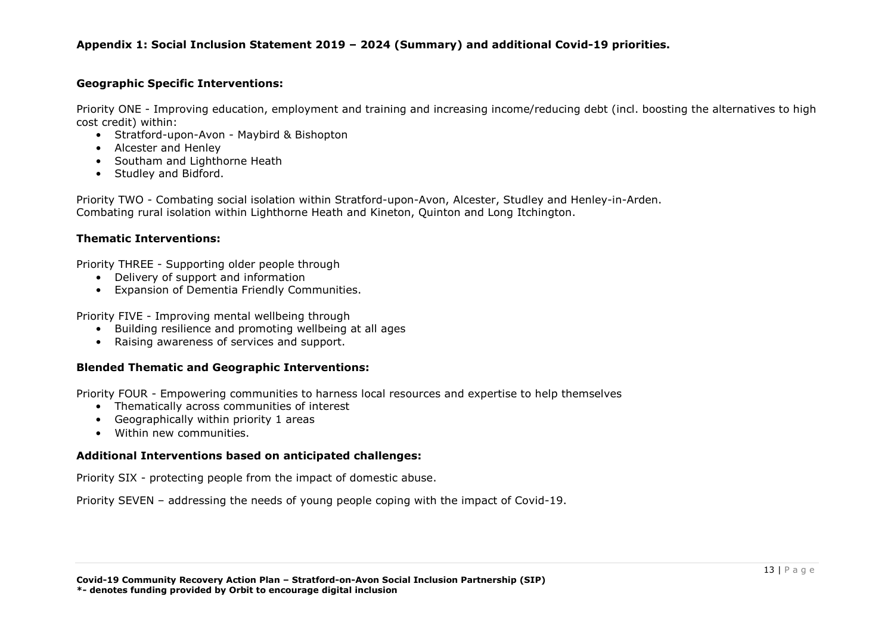#### **Appendix 1: Social Inclusion Statement 2019 – 2024 (Summary) and additional Covid-19 priorities.**

#### **Geographic Specific Interventions:**

Priority ONE - Improving education, employment and training and increasing income/reducing debt (incl. boosting the alternatives to high cost credit) within:

- Stratford-upon-Avon Maybird & Bishopton
- Alcester and Henley
- Southam and Lighthorne Heath
- Studley and Bidford.

Priority TWO - Combating social isolation within Stratford-upon-Avon, Alcester, Studley and Henley-in-Arden. Combating rural isolation within Lighthorne Heath and Kineton, Quinton and Long Itchington.

#### **Thematic Interventions:**

Priority THREE - Supporting older people through

- Delivery of support and information
- Expansion of Dementia Friendly Communities.

Priority FIVE - Improving mental wellbeing through

- Building resilience and promoting wellbeing at all ages
- Raising awareness of services and support.

#### **Blended Thematic and Geographic Interventions:**

Priority FOUR - Empowering communities to harness local resources and expertise to help themselves

- Thematically across communities of interest
- Geographically within priority 1 areas
- Within new communities.

#### **Additional Interventions based on anticipated challenges:**

Priority SIX - protecting people from the impact of domestic abuse.

Priority SEVEN – addressing the needs of young people coping with the impact of Covid-19.

**\*- denotes funding provided by Orbit to encourage digital inclusion** 

**Covid-19 Community Recovery Action Plan – Stratford-on-Avon Social Inclusion Partnership (SIP)**